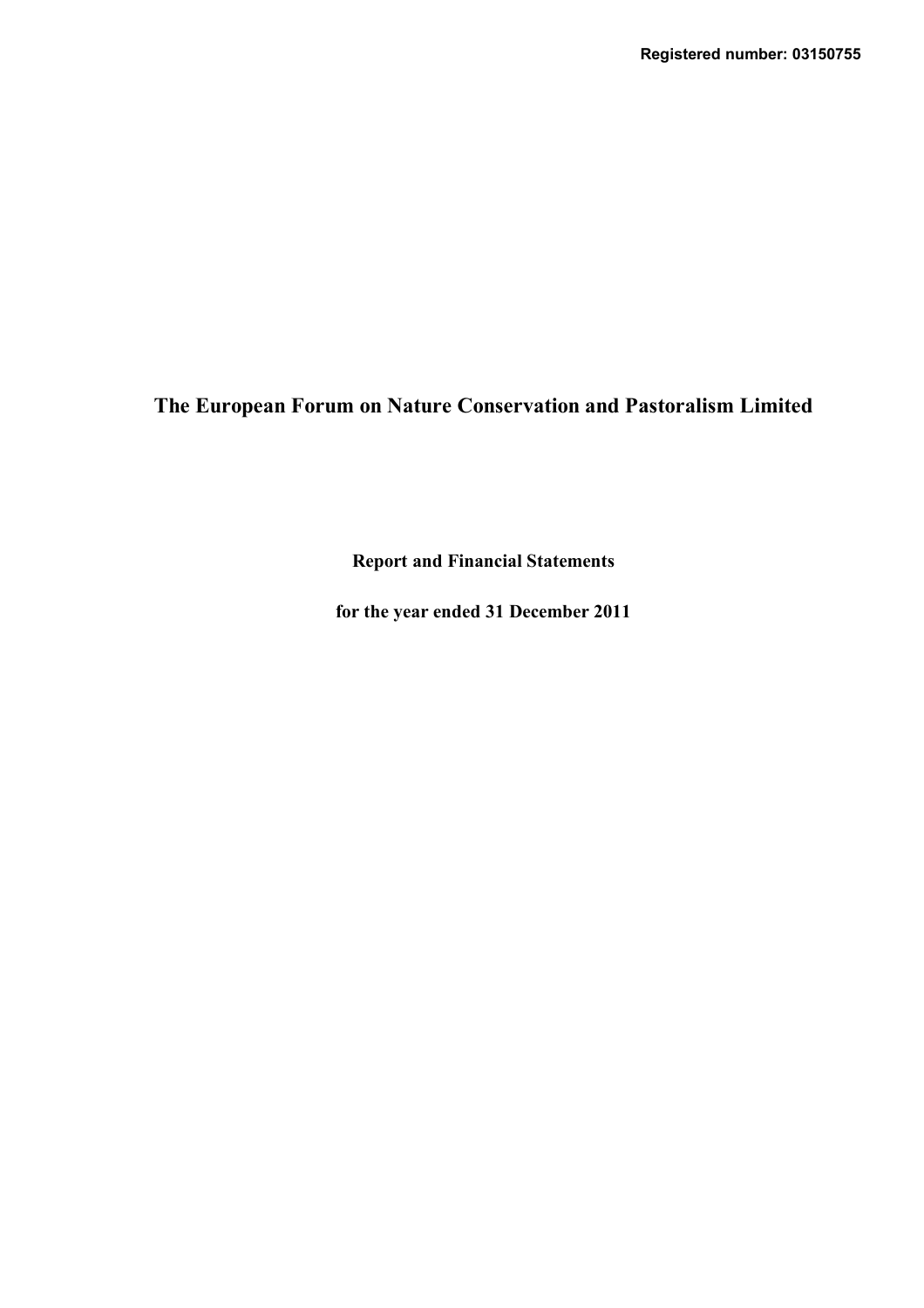# **The European Forum on Nature Conservation and Pastoralism Limited**

**Report and Financial Statements**

**for the year ended 31 December 2011**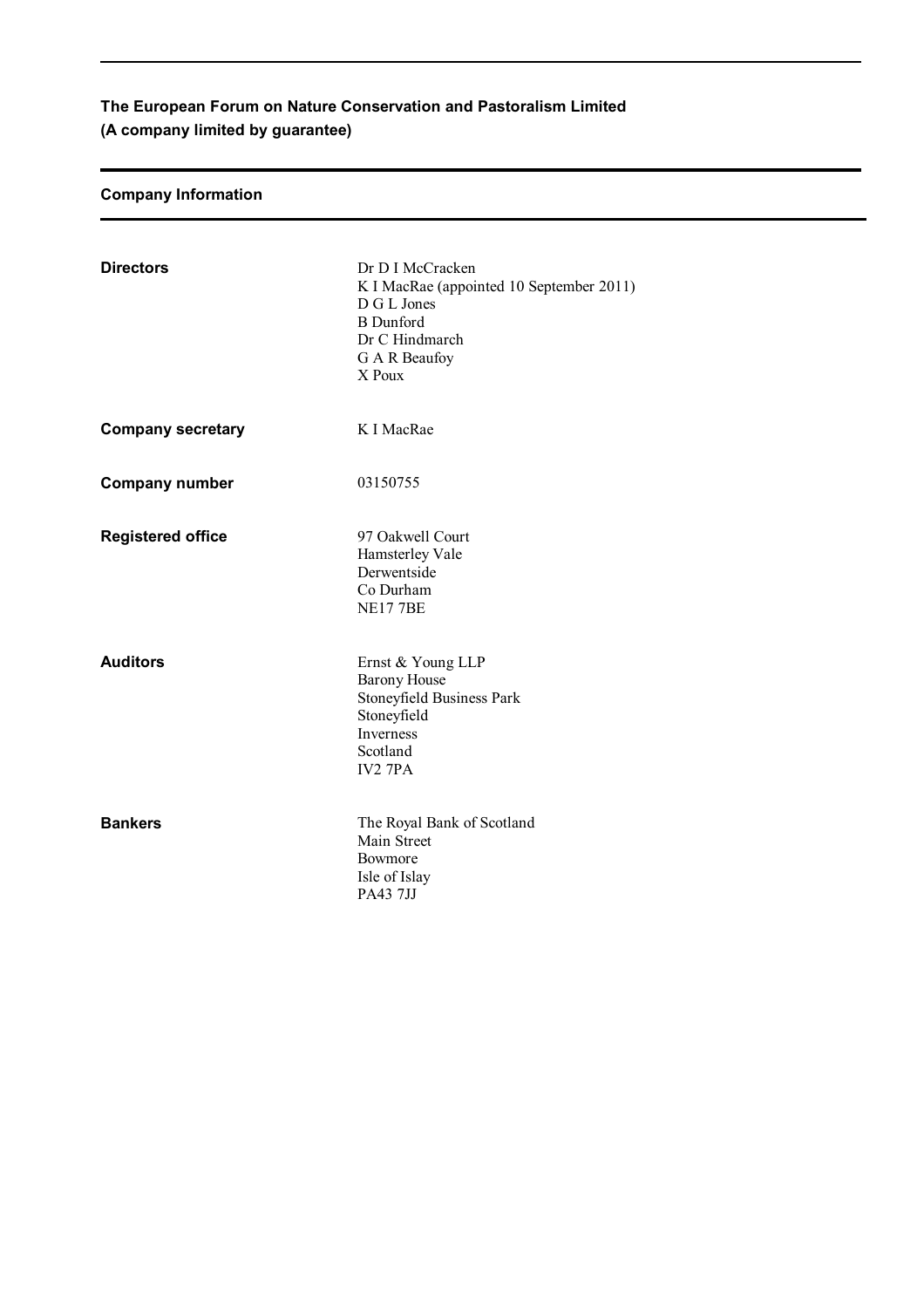# **Company Information**

| <b>Directors</b>         | Dr D I McCracken<br>K I MacRae (appointed 10 September 2011)<br>D G L Jones<br><b>B</b> Dunford<br>Dr C Hindmarch<br>G A R Beaufoy<br>$X$ Poux |
|--------------------------|------------------------------------------------------------------------------------------------------------------------------------------------|
| <b>Company secretary</b> | K I MacRae                                                                                                                                     |
| <b>Company number</b>    | 03150755                                                                                                                                       |
| <b>Registered office</b> | 97 Oakwell Court<br>Hamsterley Vale<br>Derwentside<br>Co Durham<br><b>NE177BE</b>                                                              |
| <b>Auditors</b>          | Ernst & Young LLP<br><b>Barony House</b><br>Stoneyfield Business Park<br>Stoneyfield<br>Inverness<br>Scotland<br><b>IV2 7PA</b>                |
| <b>Bankers</b>           | The Royal Bank of Scotland<br>Main Street<br>Bowmore<br>Isle of Islay<br>PA43 7JJ                                                              |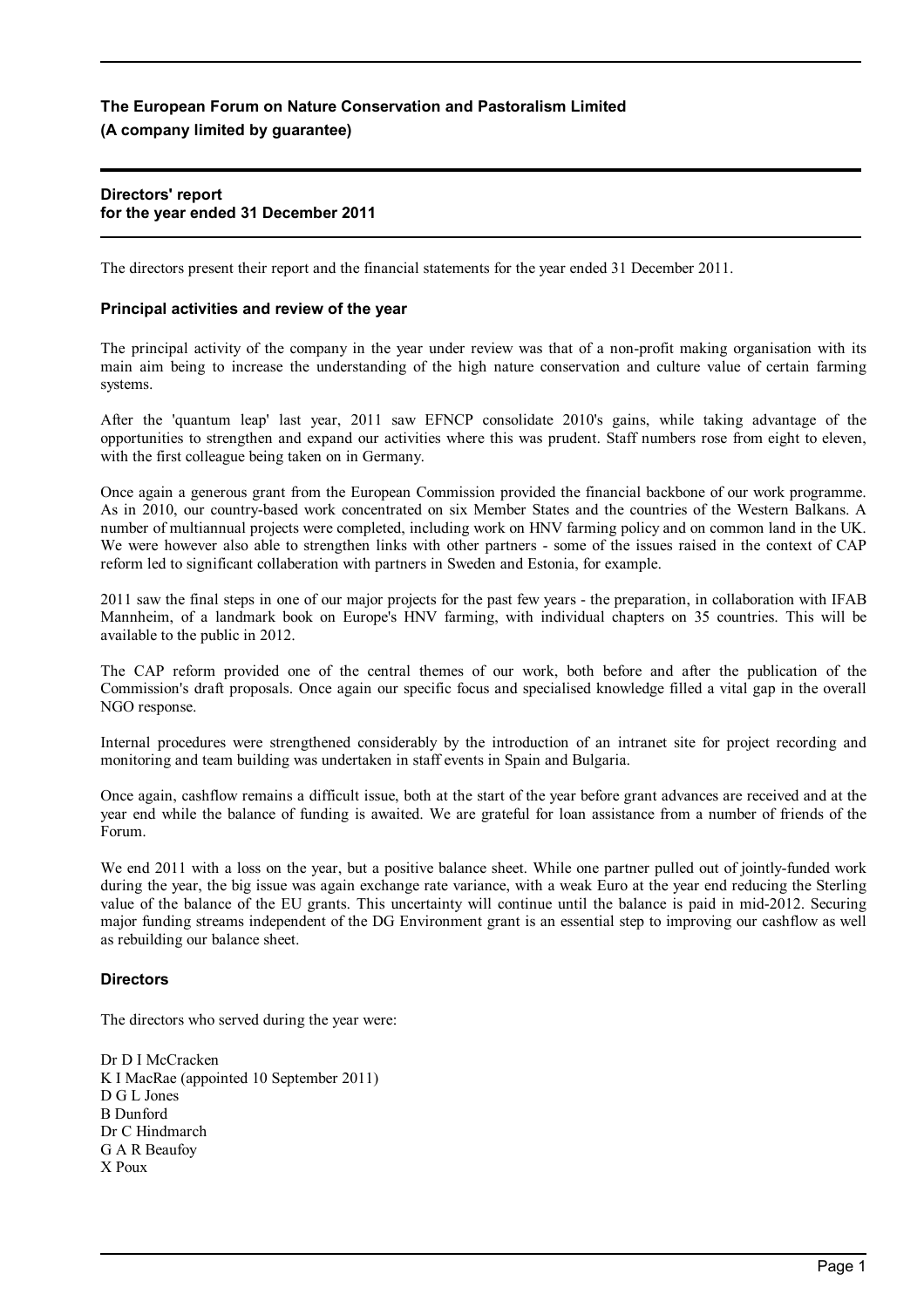### **Directors' report for the year ended 31 December 2011**

The directors present their report and the financial statements for the year ended 31 December 2011.

### **Principal activities and review of the year**

The principal activity of the company in the year under review was that of a non-profit making organisation with its main aim being to increase the understanding of the high nature conservation and culture value of certain farming systems.

After the 'quantum leap' last year, 2011 saw EFNCP consolidate 2010's gains, while taking advantage of the opportunities to strengthen and expand our activities where this was prudent. Staff numbers rose from eight to eleven, with the first colleague being taken on in Germany.

Once again a generous grant from the European Commission provided the financial backbone of our work programme. As in 2010, our country-based work concentrated on six Member States and the countries of the Western Balkans. A number of multiannual projects were completed, including work on HNV farming policy and on common land in the UK. We were however also able to strengthen links with other partners - some of the issues raised in the context of CAP reform led to significant collaberation with partners in Sweden and Estonia, for example.

2011 saw the final steps in one of our major projects for the past few years - the preparation, in collaboration with IFAB Mannheim, of a landmark book on Europe's HNV farming, with individual chapters on 35 countries. This will be available to the public in 2012.

The CAP reform provided one of the central themes of our work, both before and after the publication of the Commission's draft proposals. Once again our specific focus and specialised knowledge filled a vital gap in the overall NGO response.

Internal procedures were strengthened considerably by the introduction of an intranet site for project recording and monitoring and team building was undertaken in staff events in Spain and Bulgaria.

Once again, cashflow remains a difficult issue, both at the start of the year before grant advances are received and at the year end while the balance of funding is awaited. We are grateful for loan assistance from a number of friends of the Forum.

We end 2011 with a loss on the year, but a positive balance sheet. While one partner pulled out of jointly-funded work during the year, the big issue was again exchange rate variance, with a weak Euro at the year end reducing the Sterling value of the balance of the EU grants. This uncertainty will continue until the balance is paid in mid-2012. Securing major funding streams independent of the DG Environment grant is an essential step to improving our cashflow as well as rebuilding our balance sheet.

### **Directors**

The directors who served during the year were:

Dr D I McCracken K I MacRae (appointed 10 September 2011) D G L Jones B Dunford Dr C Hindmarch G A R Beaufoy X Poux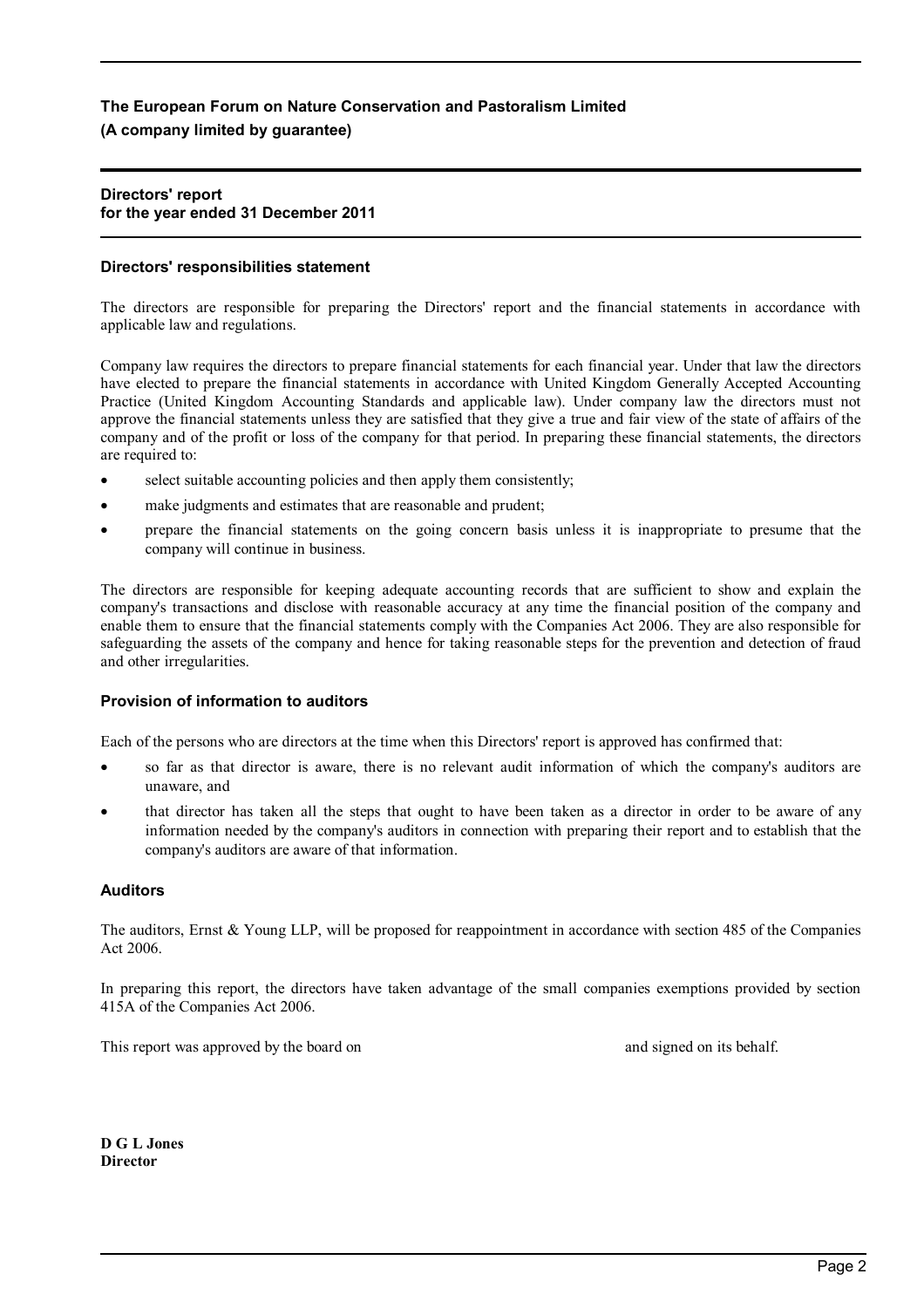### **Directors' report for the year ended 31 December 2011**

### **Directors' responsibilities statement**

The directors are responsible for preparing the Directors' report and the financial statements in accordance with applicable law and regulations.

Company law requires the directors to prepare financial statements for each financial year. Under that law the directors have elected to prepare the financial statements in accordance with United Kingdom Generally Accepted Accounting Practice (United Kingdom Accounting Standards and applicable law). Under company law the directors must not approve the financial statements unless they are satisfied that they give a true and fair view of the state of affairs of the company and of the profit or loss of the company for that period. In preparing these financial statements, the directors are required to:

- select suitable accounting policies and then apply them consistently;
- make judgments and estimates that are reasonable and prudent;
- · prepare the financial statements on the going concern basis unless it is inappropriate to presume that the company will continue in business.

The directors are responsible for keeping adequate accounting records that are sufficient to show and explain the company's transactions and disclose with reasonable accuracy at any time the financial position of the company and enable them to ensure that the financial statements comply with the Companies Act 2006. They are also responsible for safeguarding the assets of the company and hence for taking reasonable steps for the prevention and detection of fraud and other irregularities.

### **Provision of information to auditors**

Each of the persons who are directors at the time when this Directors' report is approved has confirmed that:

- so far as that director is aware, there is no relevant audit information of which the company's auditors are unaware, and
- · that director has taken all the steps that ought to have been taken as a director in order to be aware of any information needed by the company's auditors in connection with preparing their report and to establish that the company's auditors are aware of that information.

### **Auditors**

The auditors, Ernst & Young LLP, will be proposed for reappointment in accordance with section 485 of the Companies Act 2006.

In preparing this report, the directors have taken advantage of the small companies exemptions provided by section 415A of the Companies Act 2006.

This report was approved by the board on and signed on and signed on its behalf.

**D G L Jones Director**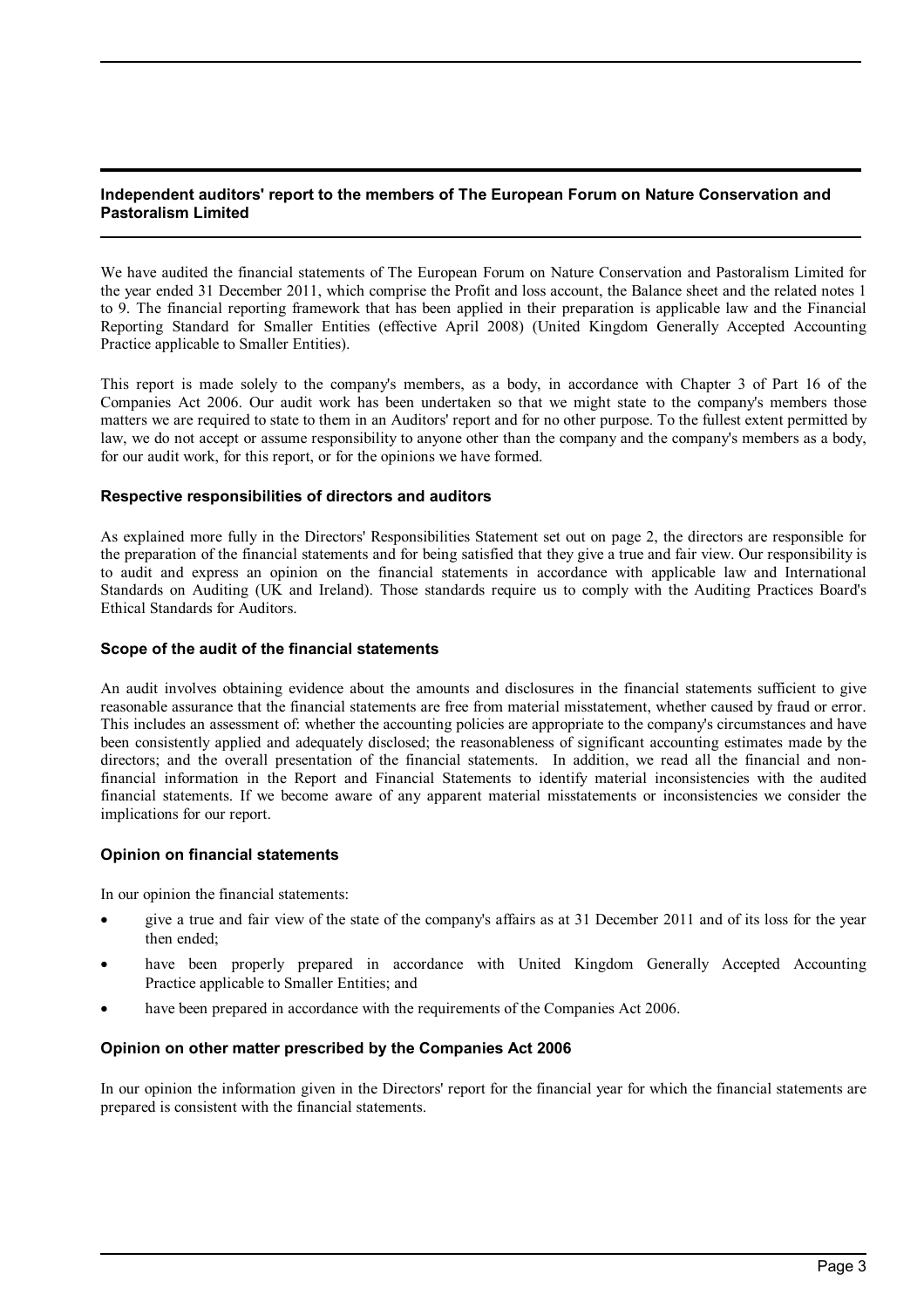### **Independent auditors' report to the members of The European Forum on Nature Conservation and Pastoralism Limited**

We have audited the financial statements of The European Forum on Nature Conservation and Pastoralism Limited for the year ended 31 December 2011, which comprise the Profit and loss account, the Balance sheet and the related notes 1 to 9. The financial reporting framework that has been applied in their preparation is applicable law and the Financial Reporting Standard for Smaller Entities (effective April 2008) (United Kingdom Generally Accepted Accounting Practice applicable to Smaller Entities).

This report is made solely to the company's members, as a body, in accordance with Chapter 3 of Part 16 of the Companies Act 2006. Our audit work has been undertaken so that we might state to the company's members those matters we are required to state to them in an Auditors' report and for no other purpose. To the fullest extent permitted by law, we do not accept or assume responsibility to anyone other than the company and the company's members as a body, for our audit work, for this report, or for the opinions we have formed.

#### **Respective responsibilities of directors and auditors**

As explained more fully in the Directors' Responsibilities Statement set out on page 2, the directors are responsible for the preparation of the financial statements and for being satisfied that they give a true and fair view. Our responsibility is to audit and express an opinion on the financial statements in accordance with applicable law and International Standards on Auditing (UK and Ireland). Those standards require us to comply with the Auditing Practices Board's Ethical Standards for Auditors.

### **Scope of the audit of the financial statements**

An audit involves obtaining evidence about the amounts and disclosures in the financial statements sufficient to give reasonable assurance that the financial statements are free from material misstatement, whether caused by fraud or error. This includes an assessment of: whether the accounting policies are appropriate to the company's circumstances and have been consistently applied and adequately disclosed; the reasonableness of significant accounting estimates made by the directors; and the overall presentation of the financial statements. In addition, we read all the financial and nonfinancial information in the Report and Financial Statements to identify material inconsistencies with the audited financial statements. If we become aware of any apparent material misstatements or inconsistencies we consider the implications for our report.

#### **Opinion on financial statements**

In our opinion the financial statements:

- · give a true and fair view of the state of the company's affairs as at 31 December 2011 and of its loss for the year then ended;
- have been properly prepared in accordance with United Kingdom Generally Accepted Accounting Practice applicable to Smaller Entities; and
- have been prepared in accordance with the requirements of the Companies Act 2006.

### **Opinion on other matter prescribed by the Companies Act 2006**

In our opinion the information given in the Directors' report for the financial year for which the financial statements are prepared is consistent with the financial statements.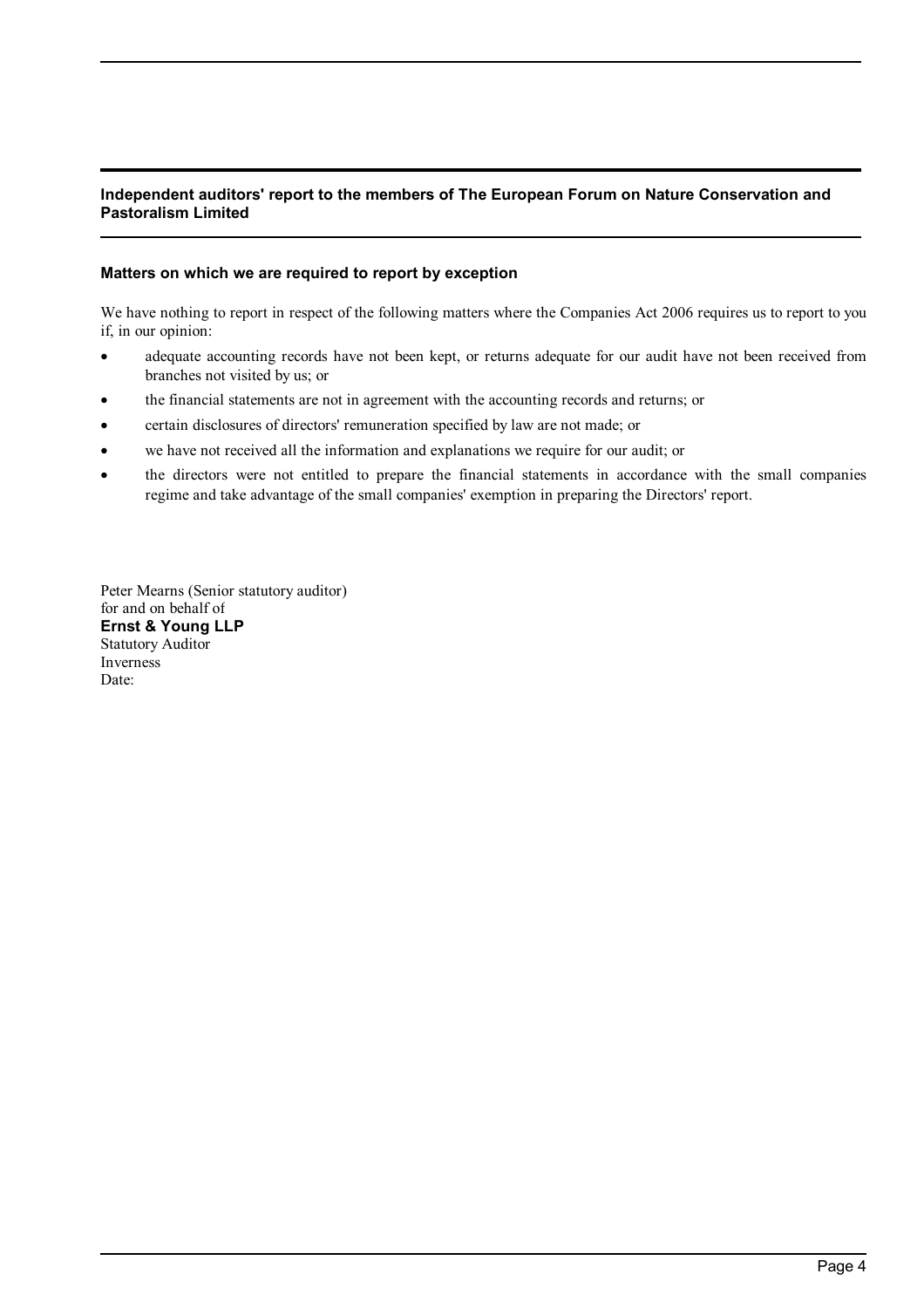### **Independent auditors' report to the members of The European Forum on Nature Conservation and Pastoralism Limited**

### **Matters on which we are required to report by exception**

We have nothing to report in respect of the following matters where the Companies Act 2006 requires us to report to you if, in our opinion:

- · adequate accounting records have not been kept, or returns adequate for our audit have not been received from branches not visited by us; or
- · the financial statements are not in agreement with the accounting records and returns; or Ī
- · certain disclosures of directors' remuneration specified by law are not made; or Ī
- we have not received all the information and explanations we require for our audit; or
- · the directors were not entitled to prepare the financial statements in accordance with the small companies regime and take advantage of the small companies' exemption in preparing the Directors' report.

Peter Mearns (Senior statutory auditor) for and on behalf of **Ernst & Young LLP** Statutory Auditor Inverness Date: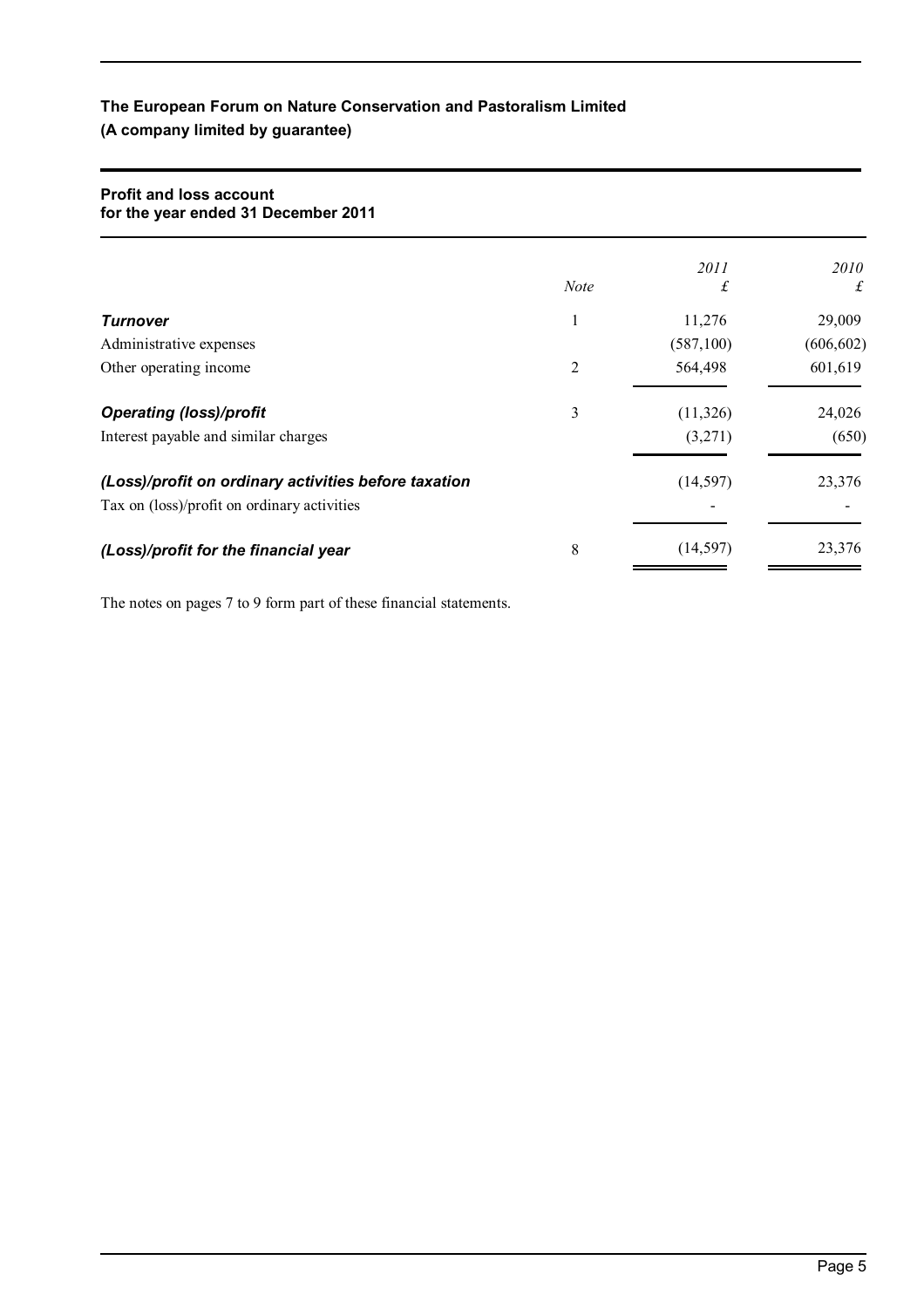### **Profit and loss account for the year ended 31 December 2011**

|                |            | 2010       |
|----------------|------------|------------|
| <b>Note</b>    | £          | £          |
| 1              | 11,276     | 29,009     |
|                | (587, 100) | (606, 602) |
| $\overline{2}$ | 564,498    | 601,619    |
| 3              | (11,326)   | 24,026     |
|                | (3,271)    | (650)      |
|                | (14, 597)  | 23,376     |
|                |            |            |
| 8              | (14, 597)  | 23,376     |
|                |            | 2011       |

The notes on pages 7 to 9 form part of these financial statements.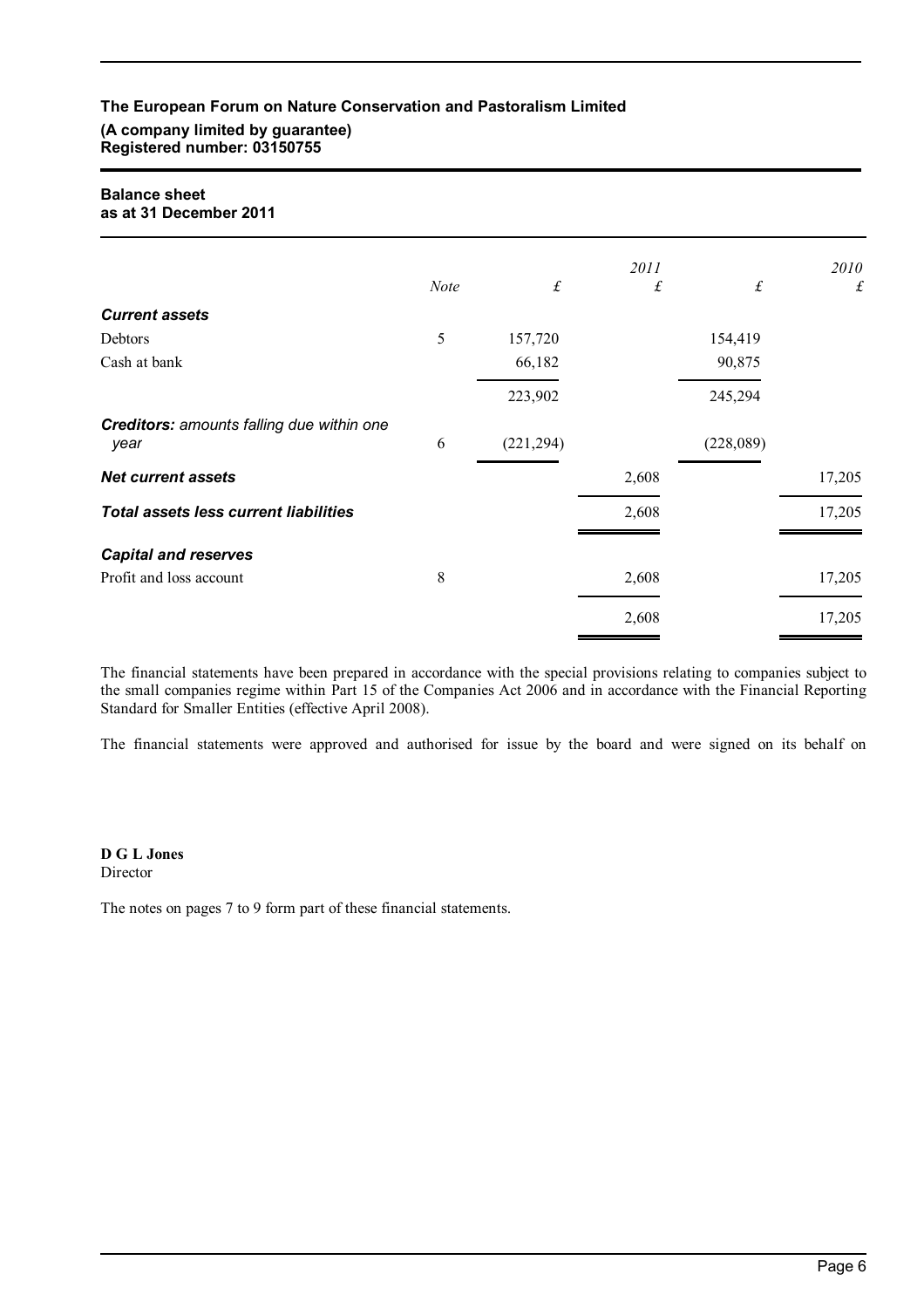# **Registered number: 03150755**

#### **Balance sheet as at 31 December 2011**

|                                                   |             |            | 2011  |           | 2010   |
|---------------------------------------------------|-------------|------------|-------|-----------|--------|
|                                                   | <b>Note</b> | $\pounds$  | £     | $\pounds$ | £      |
| <b>Current assets</b>                             |             |            |       |           |        |
| Debtors                                           | 5           | 157,720    |       | 154,419   |        |
| Cash at bank                                      |             | 66,182     |       | 90,875    |        |
|                                                   |             | 223,902    |       | 245,294   |        |
| Creditors: amounts falling due within one<br>year | 6           | (221, 294) |       | (228,089) |        |
| <b>Net current assets</b>                         |             |            | 2,608 |           | 17,205 |
| Total assets less current liabilities             |             |            | 2,608 |           | 17,205 |
| <b>Capital and reserves</b>                       |             |            |       |           |        |
| Profit and loss account                           | 8           |            | 2,608 |           | 17,205 |
|                                                   |             |            | 2,608 |           | 17,205 |

The financial statements have been prepared in accordance with the special provisions relating to companies subject to the small companies regime within Part 15 of the Companies Act 2006 and in accordance with the Financial Reporting Standard for Smaller Entities (effective April 2008).

The financial statements were approved and authorised for issue by the board and were signed on its behalf on

**D G L Jones** Director

The notes on pages 7 to 9 form part of these financial statements.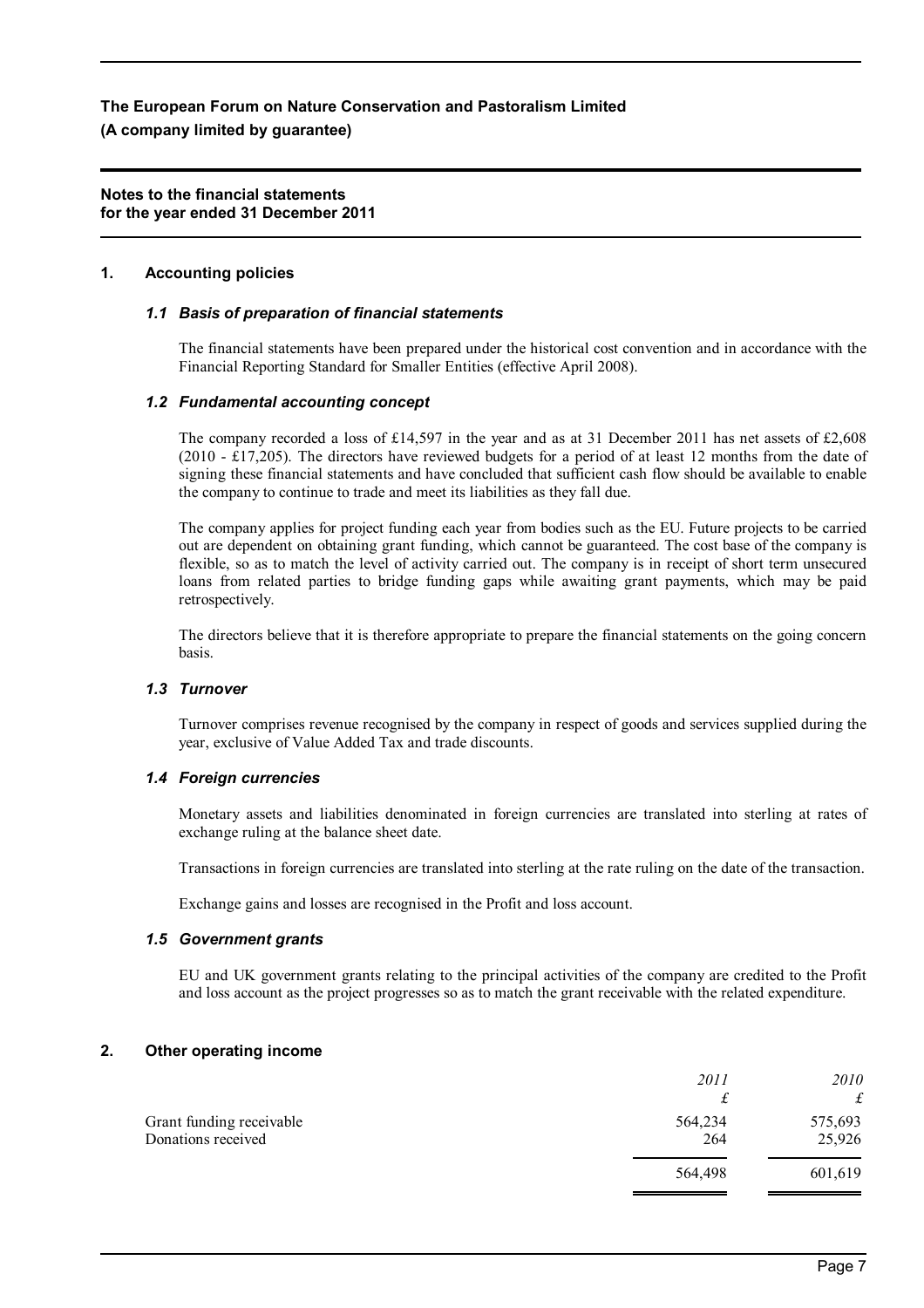### **Notes to the financial statements for the year ended 31 December 2011**

### **1. Accounting policies**

### *1.1 Basis of preparation of financial statements*

The financial statements have been prepared under the historical cost convention and in accordance with the Financial Reporting Standard for Smaller Entities (effective April 2008).

### *1.2 Fundamental accounting concept*

The company recorded a loss of £14,597 in the year and as at 31 December 2011 has net assets of £2,608 (2010 - £17,205). The directors have reviewed budgets for a period of at least 12 months from the date of signing these financial statements and have concluded that sufficient cash flow should be available to enable the company to continue to trade and meet its liabilities as they fall due.

The company applies for project funding each year from bodies such as the EU. Future projects to be carried out are dependent on obtaining grant funding, which cannot be guaranteed. The cost base of the company is flexible, so as to match the level of activity carried out. The company is in receipt of short term unsecured loans from related parties to bridge funding gaps while awaiting grant payments, which may be paid retrospectively.

The directors believe that it is therefore appropriate to prepare the financial statements on the going concern basis.

### *1.3 Turnover*

Turnover comprises revenue recognised by the company in respect of goods and services supplied during the year, exclusive of Value Added Tax and trade discounts.

### *1.4 Foreign currencies*

Monetary assets and liabilities denominated in foreign currencies are translated into sterling at rates of exchange ruling at the balance sheet date.

Transactions in foreign currencies are translated into sterling at the rate ruling on the date of the transaction.

Exchange gains and losses are recognised in the Profit and loss account.

#### *1.5 Government grants*

EU and UK government grants relating to the principal activities of the company are credited to the Profit and loss account as the project progresses so as to match the grant receivable with the related expenditure.

### **2. Other operating income**

|                                                | 2011<br>£      | 2010<br>£         |
|------------------------------------------------|----------------|-------------------|
| Grant funding receivable<br>Donations received | 564,234<br>264 | 575,693<br>25,926 |
|                                                | 564,498        | 601,619           |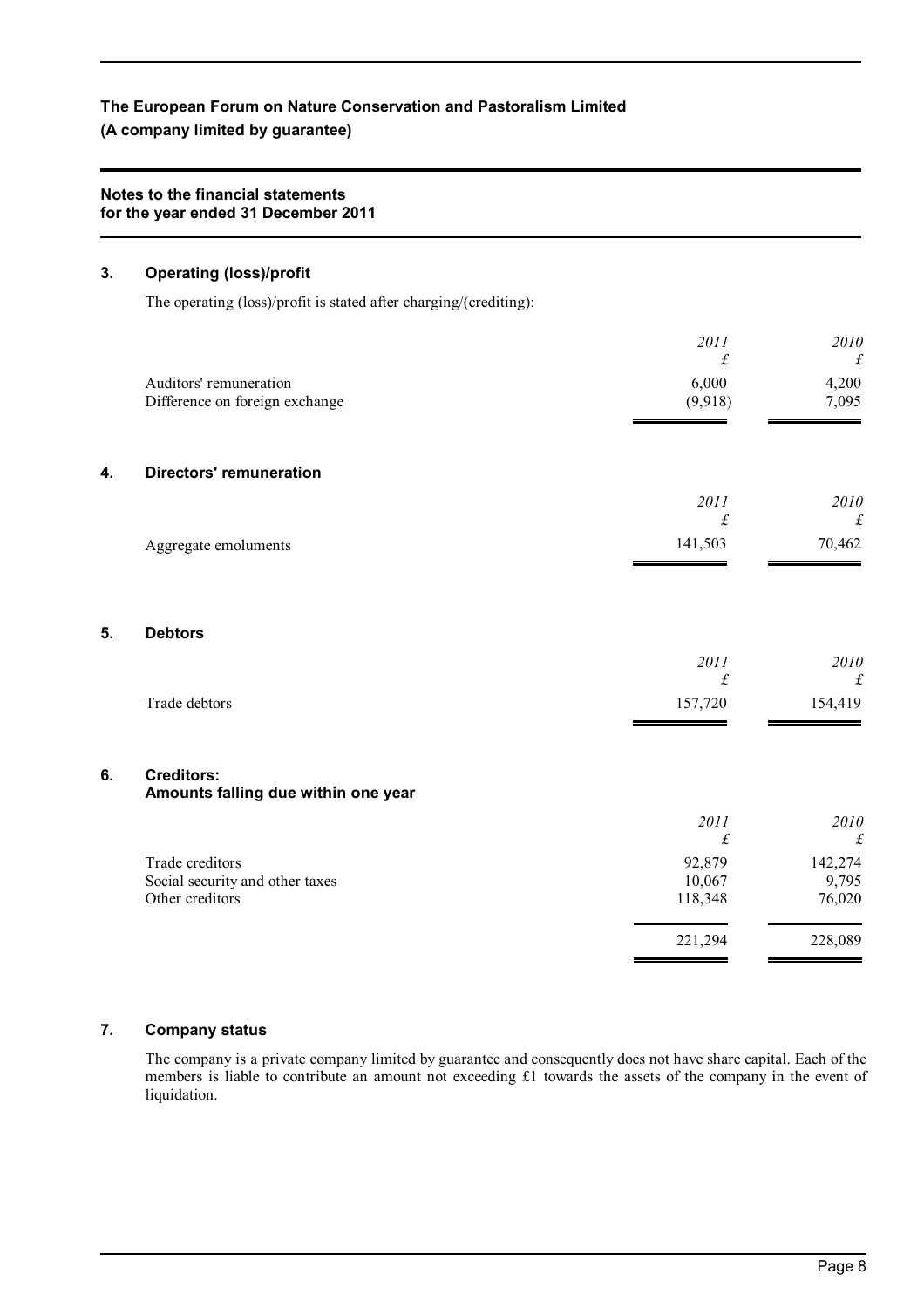### **Notes to the financial statements for the year ended 31 December 2011**

### **3. Operating (loss)/profit**

The operating (loss)/profit is stated after charging/(crediting):

|    |                                                          | 2011<br>£ | 2010<br>$\mathcal{L}$ |
|----|----------------------------------------------------------|-----------|-----------------------|
|    | Auditors' remuneration                                   | 6,000     | 4,200                 |
|    | Difference on foreign exchange                           | (9,918)   | 7,095                 |
|    |                                                          |           |                       |
| 4. | <b>Directors' remuneration</b>                           |           |                       |
|    |                                                          | 2011      | 2010                  |
|    |                                                          | $\pounds$ | $\pounds$             |
|    | Aggregate emoluments                                     | 141,503   | 70,462                |
|    |                                                          |           |                       |
| 5. | <b>Debtors</b>                                           |           |                       |
|    |                                                          | 2011      | 2010                  |
|    |                                                          | $\pounds$ | $\pounds$             |
|    | Trade debtors                                            | 157,720   | 154,419               |
|    |                                                          |           |                       |
| 6. | <b>Creditors:</b><br>Amounts falling due within one year |           |                       |
|    |                                                          | 2011      | 2010                  |
|    |                                                          | $\pounds$ | $\pounds$             |
|    | Trade creditors                                          | 92,879    | 142,274               |
|    | Social security and other taxes                          | 10,067    | 9,795                 |
|    | Other creditors                                          | 118,348   | 76,020                |
|    |                                                          | 221,294   | 228,089               |
|    |                                                          |           |                       |

## **7. Company status**

The company is a private company limited by guarantee and consequently does not have share capital. Each of the members is liable to contribute an amount not exceeding £1 towards the assets of the company in the event of liquidation.